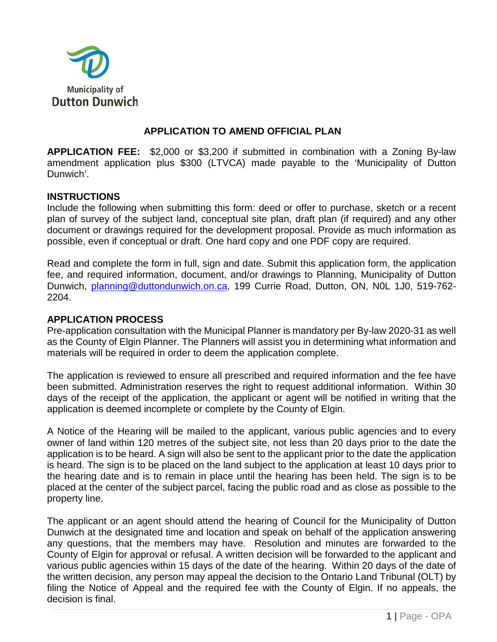

## **APPLICATION TO AMEND OFFICIAL PLAN**

**APPLICATION FEE:** \$2,000 or \$3,200 if submitted in combination with a Zoning By-law amendment application plus \$300 (LTVCA) made payable to the 'Municipality of Dutton Dunwich'.

## **INSTRUCTIONS**

Include the following when submitting this form: deed or offer to purchase, sketch or a recent plan of survey of the subject land, conceptual site plan, draft plan (if required) and any other document or drawings required for the development proposal. Provide as much information as possible, even if conceptual or draft. One hard copy and one PDF copy are required.

Read and complete the form in full, sign and date. Submit this application form, the application fee, and required information, document, and/or drawings to Planning, Municipality of Dutton Dunwich, [planning@duttondunwich.on.ca,](mailto:planning@duttondunwich.on.ca) 199 Currie Road, Dutton, ON, N0L 1J0, 519-762- 2204.

## **APPLICATION PROCESS**

Pre-application consultation with the Municipal Planner is mandatory per By-law 2020-31 as well as the County of Elgin Planner. The Planners will assist you in determining what information and materials will be required in order to deem the application complete.

The application is reviewed to ensure all prescribed and required information and the fee have been submitted. Administration reserves the right to request additional information. Within 30 days of the receipt of the application, the applicant or agent will be notified in writing that the application is deemed incomplete or complete by the County of Elgin.

A Notice of the Hearing will be mailed to the applicant, various public agencies and to every owner of land within 120 metres of the subject site, not less than 20 days prior to the date the application is to be heard. A sign will also be sent to the applicant prior to the date the application is heard. The sign is to be placed on the land subject to the application at least 10 days prior to the hearing date and is to remain in place until the hearing has been held. The sign is to be placed at the center of the subject parcel, facing the public road and as close as possible to the property line.

The applicant or an agent should attend the hearing of Council for the Municipality of Dutton Dunwich at the designated time and location and speak on behalf of the application answering any questions, that the members may have. Resolution and minutes are forwarded to the County of Elgin for approval or refusal. A written decision will be forwarded to the applicant and various public agencies within 15 days of the date of the hearing. Within 20 days of the date of the written decision, any person may appeal the decision to the Ontario Land Tribunal (OLT) by filing the Notice of Appeal and the required fee with the County of Elgin. If no appeals, the decision is final.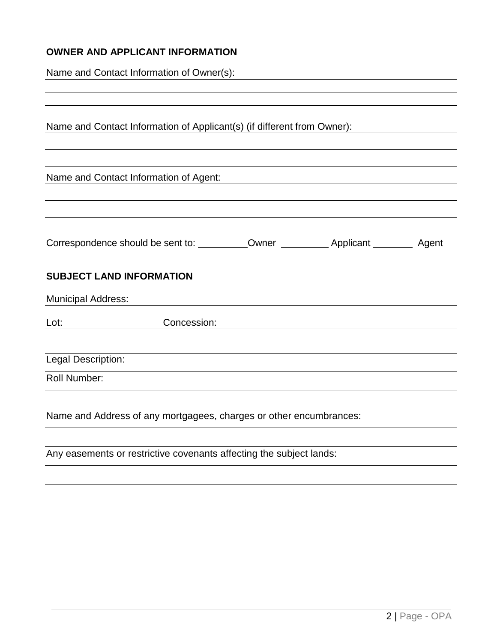# **OWNER AND APPLICANT INFORMATION**

Name and Contact Information of Owner(s):

| Name and Contact Information of Applicant(s) (if different from Owner): |                                                                     |  |  |  |
|-------------------------------------------------------------------------|---------------------------------------------------------------------|--|--|--|
|                                                                         | Name and Contact Information of Agent:                              |  |  |  |
|                                                                         |                                                                     |  |  |  |
|                                                                         | <b>SUBJECT LAND INFORMATION</b>                                     |  |  |  |
| <b>Municipal Address:</b>                                               |                                                                     |  |  |  |
| Lot:                                                                    | Concession:                                                         |  |  |  |
| Legal Description:                                                      |                                                                     |  |  |  |
| Roll Number:                                                            |                                                                     |  |  |  |
|                                                                         | Name and Address of any mortgagees, charges or other encumbrances:  |  |  |  |
|                                                                         | Any easements or restrictive covenants affecting the subject lands: |  |  |  |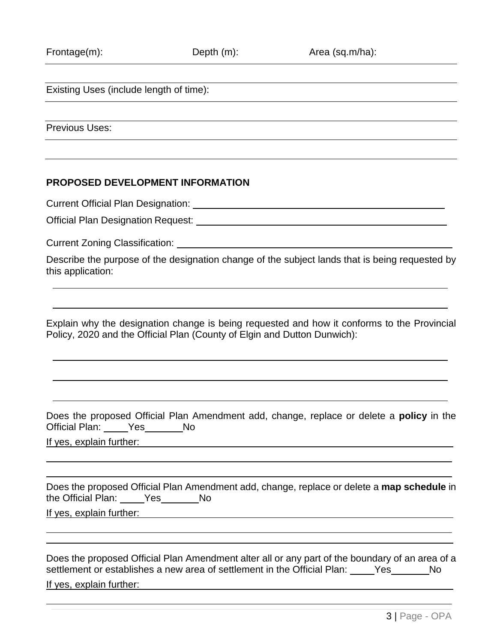Existing Uses (include length of time):

Previous Uses:

#### **PROPOSED DEVELOPMENT INFORMATION**

Current Official Plan Designation:

Official Plan Designation Request:

Current Zoning Classification:

Describe the purpose of the designation change of the subject lands that is being requested by this application:

Explain why the designation change is being requested and how it conforms to the Provincial Policy, 2020 and the Official Plan (County of Elgin and Dutton Dunwich):

Does the proposed Official Plan Amendment add, change, replace or delete a **policy** in the Official Plan: Yes No

If yes, explain further:

 $\overline{a}$  $\overline{a}$ 

 $\overline{a}$  $\overline{\phantom{a}}$ 

 $\overline{a}$ 

| Does the proposed Official Plan Amendment add, change, replace or delete a map schedule in |     |  |  |
|--------------------------------------------------------------------------------------------|-----|--|--|
| the Official Plan: Yes                                                                     | No. |  |  |
| If yes, explain further:                                                                   |     |  |  |

Does the proposed Official Plan Amendment alter all or any part of the boundary of an area of a settlement or establishes a new area of settlement in the Official Plan: Yes No If yes, explain further: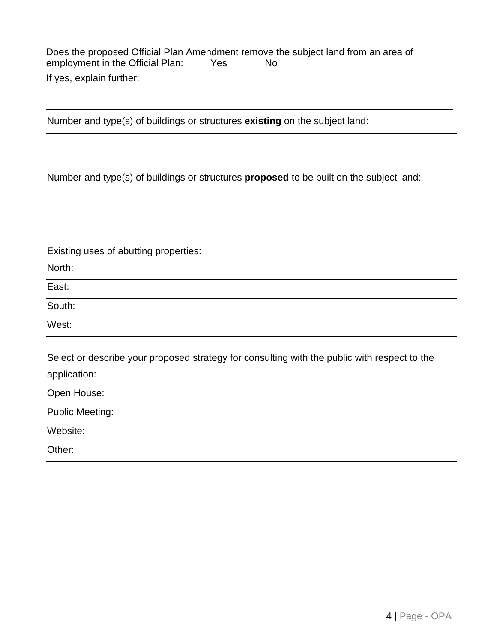Does the proposed Official Plan Amendment remove the subject land from an area of employment in the Official Plan: \_\_\_\_\_Yes\_\_\_\_\_\_\_No

If yes, explain further:

Number and type(s) of buildings or structures **existing** on the subject land:

Number and type(s) of buildings or structures **proposed** to be built on the subject land:

Existing uses of abutting properties:

North:

 $\overline{a}$  $\overline{a}$ 

East:

South:

West:

Select or describe your proposed strategy for consulting with the public with respect to the application:

Open House: Public Meeting: Website: Other: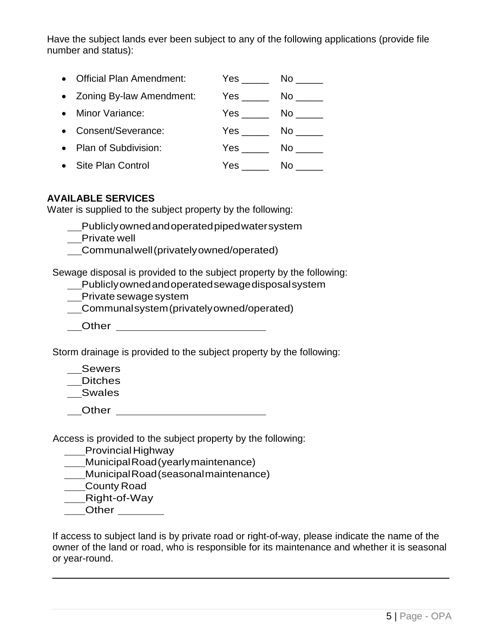Have the subject lands ever been subject to any of the following applications (provide file number and status):

| • Official Plan Amendment: | Yes | Nο  |
|----------------------------|-----|-----|
| • Zoning By-law Amendment: | Yes | No. |
| • Minor Variance:          | Yes | No. |
| • Consent/Severance:       | Yes | No. |
| • Plan of Subdivision:     | Yes | Nο  |

• Site Plan Control Yes \_\_\_\_\_ No \_\_\_\_\_

## **AVAILABLE SERVICES**

Water is supplied to the subject property by the following:

Publiclyownedandoperatedpipedwatersystem

\_\_Private well

Communalwell(privatelyowned/operated)

Sewage disposal is provided to the subject property by the following:

Publiclyownedandoperatedsewagedisposalsystem

Private sewage system

Communalsystem(privatelyowned/operated)

Other **Communist Communist Communist Communist Communist Communist Communist Communist Communist Communist Communist Communist Communist Communist Communist Communist Communist Communist Communist Communist Communist Commu** 

Storm drainage is provided to the subject property by the following:

Sewers

Ditches

Swales

**Other Community Community Community Community Community Community Community** 

Access is provided to the subject property by the following:

Provincial Highway

MunicipalRoad(yearlymaintenance)

MunicipalRoad(seasonalmaintenance)

County Road

Right-of-Way

**Other** 

If access to subject land is by private road or right-of-way, please indicate the name of the owner of the land or road, who is responsible for its maintenance and whether it is seasonal or year-round.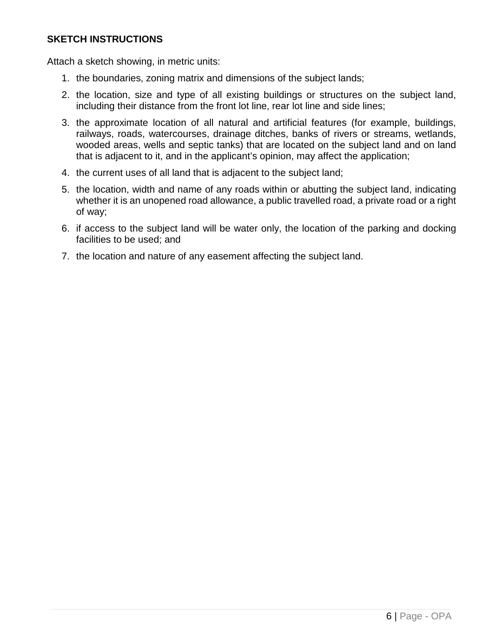## **SKETCH INSTRUCTIONS**

Attach a sketch showing, in metric units:

- 1. the boundaries, zoning matrix and dimensions of the subject lands;
- 2. the location, size and type of all existing buildings or structures on the subject land, including their distance from the front lot line, rear lot line and side lines;
- 3. the approximate location of all natural and artificial features (for example, buildings, railways, roads, watercourses, drainage ditches, banks of rivers or streams, wetlands, wooded areas, wells and septic tanks) that are located on the subject land and on land that is adjacent to it, and in the applicant's opinion, may affect the application;
- 4. the current uses of all land that is adjacent to the subject land;
- 5. the location, width and name of any roads within or abutting the subject land, indicating whether it is an unopened road allowance, a public travelled road, a private road or a right of way;
- 6. if access to the subject land will be water only, the location of the parking and docking facilities to be used; and
- 7. the location and nature of any easement affecting the subject land.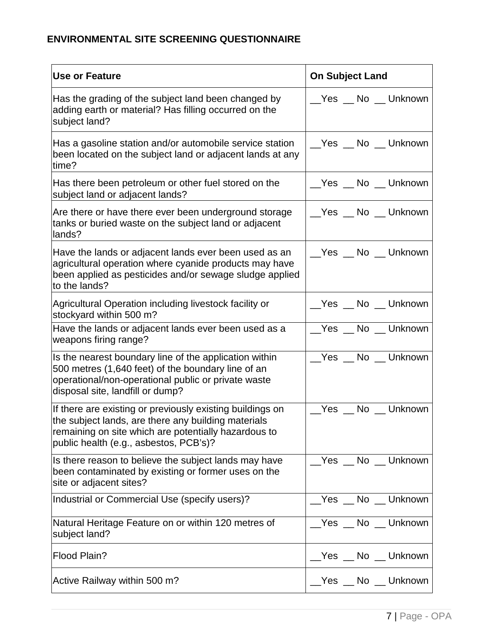# **ENVIRONMENTAL SITE SCREENING QUESTIONNAIRE**

| <b>Use or Feature</b>                                                                                                                                                                                              | <b>On Subject Land</b> |
|--------------------------------------------------------------------------------------------------------------------------------------------------------------------------------------------------------------------|------------------------|
| Has the grading of the subject land been changed by<br>adding earth or material? Has filling occurred on the<br>subject land?                                                                                      | __Yes __ No __ Unknown |
| Has a gasoline station and/or automobile service station<br>been located on the subject land or adjacent lands at any<br>time?                                                                                     | __Yes __ No __ Unknown |
| Has there been petroleum or other fuel stored on the<br>subject land or adjacent lands?                                                                                                                            | __Yes __ No __ Unknown |
| Are there or have there ever been underground storage<br>tanks or buried waste on the subject land or adjacent<br>lands?                                                                                           | __Yes __ No __ Unknown |
| Have the lands or adjacent lands ever been used as an<br>agricultural operation where cyanide products may have<br>been applied as pesticides and/or sewage sludge applied<br>to the lands?                        | __Yes __ No __ Unknown |
| Agricultural Operation including livestock facility or<br>stockyard within 500 m?                                                                                                                                  |                        |
| Have the lands or adjacent lands ever been used as a<br>weapons firing range?                                                                                                                                      | Yes No Unknown         |
| Is the nearest boundary line of the application within<br>500 metres (1,640 feet) of the boundary line of an<br>operational/non-operational public or private waste<br>disposal site, landfill or dump?            | Yes No Unknown         |
| If there are existing or previously existing buildings on<br>the subject lands, are there any building materials<br>remaining on site which are potentially hazardous to<br>public health (e.g., asbestos, PCB's)? | __Yes __ No __ Unknown |
| Is there reason to believe the subject lands may have<br>been contaminated by existing or former uses on the<br>site or adjacent sites?                                                                            | Yes No Unknown         |
| Industrial or Commercial Use (specify users)?                                                                                                                                                                      | Yes No Unknown         |
| Natural Heritage Feature on or within 120 metres of<br>subject land?                                                                                                                                               | __Yes __ No __ Unknown |
| Flood Plain?                                                                                                                                                                                                       | Yes __ No __ Unknown   |
| Active Railway within 500 m?                                                                                                                                                                                       | __Yes __ No __ Unknown |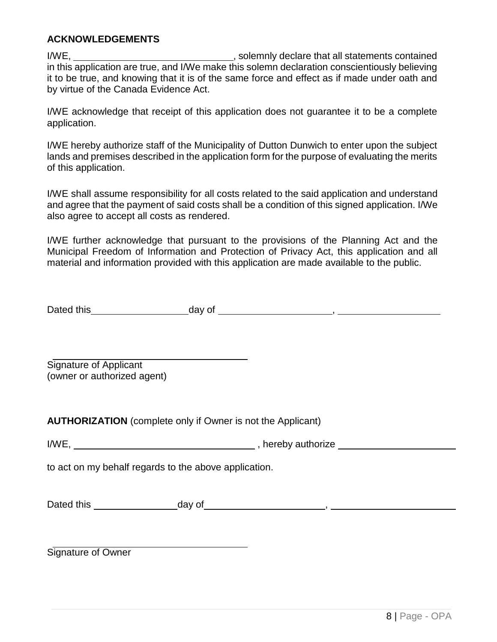## **ACKNOWLEDGEMENTS**

I/WE, I/WE, in this application are true, and I/We make this solemn declaration conscientiously believing it to be true, and knowing that it is of the same force and effect as if made under oath and by virtue of the Canada Evidence Act.

I/WE acknowledge that receipt of this application does not guarantee it to be a complete application.

I/WE hereby authorize staff of the Municipality of Dutton Dunwich to enter upon the subject lands and premises described in the application form for the purpose of evaluating the merits of this application.

I/WE shall assume responsibility for all costs related to the said application and understand and agree that the payment of said costs shall be a condition of this signed application. I/We also agree to accept all costs as rendered.

I/WE further acknowledge that pursuant to the provisions of the Planning Act and the Municipal Freedom of Information and Protection of Privacy Act, this application and all material and information provided with this application are made available to the public.

| Dated this | day of |  |
|------------|--------|--|
|            |        |  |

Signature of Applicant (owner or authorized agent)

**AUTHORIZATION** (complete only if Owner is not the Applicant)

to act on my behalf regards to the above application.

| Dated this | day of |  |
|------------|--------|--|
|            |        |  |

Signature of Owner